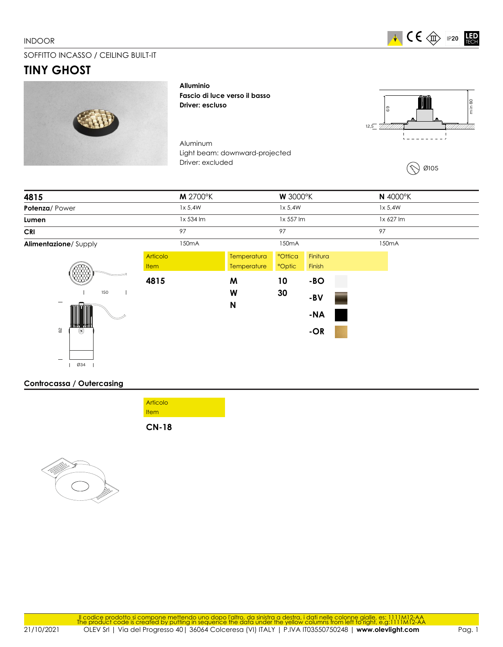### INDOOR



# SOFFITTO INCASSO / CEILING BUILT-IT

# **TINY GHOST**



**Alluminio Fascio di luce verso il basso Driver: escluso**

Aluminum Light beam: downward-projected Driver: excluded



Ø105

| 4815                         |                         | <b>M</b> 2700°K    | <b>W</b> 3000°K            |                                |                                |  | N 4000°K           |
|------------------------------|-------------------------|--------------------|----------------------------|--------------------------------|--------------------------------|--|--------------------|
| Potenza/Power                |                         | 1x 5.4W            |                            | 1x 5,4W                        |                                |  | 1x 5.4W            |
| Lumen                        |                         | 1x 534 lm          |                            | 1x 557 lm                      |                                |  | 1x 627 lm          |
| <b>CRI</b>                   |                         | 97                 |                            | 97                             |                                |  | 97                 |
| Alimentazione/Supply         |                         | 150 <sub>m</sub> A |                            | 150 <sub>m</sub> A             |                                |  | 150 <sub>m</sub> A |
|                              | <b>Articolo</b><br>Item |                    | Temperatura<br>Temperature | <b>°Ottica</b><br><b>Optic</b> | Finitura<br>Finish             |  |                    |
| <b>COD</b><br>150<br>82<br>◉ | 4815                    |                    | M<br>W<br>N                | 10<br>30                       | $-BO$<br>-BV<br>$-NA$<br>$-OR$ |  |                    |
| Ø34                          |                         |                    |                            |                                |                                |  |                    |

## **Controcassa / Outercasing**

| <b>Item</b> |  |
|-------------|--|
|             |  |
| Articolo    |  |